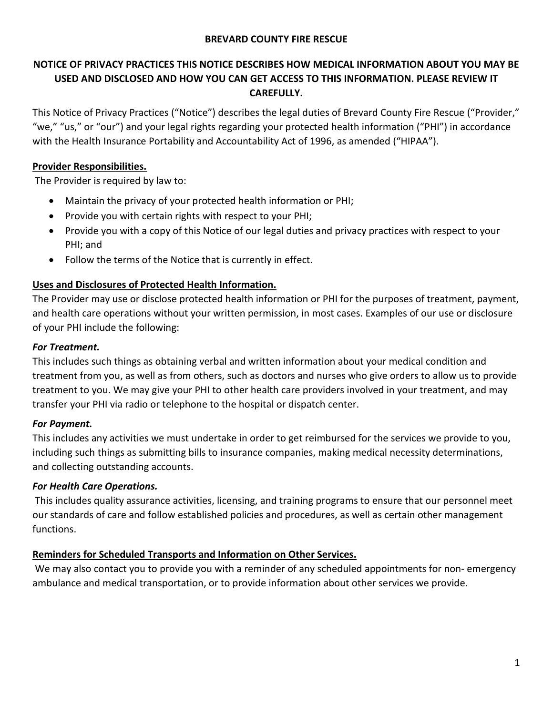#### **BREVARD COUNTY FIRE RESCUE**

# **NOTICE OF PRIVACY PRACTICES THIS NOTICE DESCRIBES HOW MEDICAL INFORMATION ABOUT YOU MAY BE USED AND DISCLOSED AND HOW YOU CAN GET ACCESS TO THIS INFORMATION. PLEASE REVIEW IT CAREFULLY.**

This Notice of Privacy Practices ("Notice") describes the legal duties of Brevard County Fire Rescue ("Provider," "we," "us," or "our") and your legal rights regarding your protected health information ("PHI") in accordance with the Health Insurance Portability and Accountability Act of 1996, as amended ("HIPAA").

### **Provider Responsibilities.**

The Provider is required by law to:

- Maintain the privacy of your protected health information or PHI;
- Provide you with certain rights with respect to your PHI;
- Provide you with a copy of this Notice of our legal duties and privacy practices with respect to your PHI; and
- Follow the terms of the Notice that is currently in effect.

### **Uses and Disclosures of Protected Health Information.**

The Provider may use or disclose protected health information or PHI for the purposes of treatment, payment, and health care operations without your written permission, in most cases. Examples of our use or disclosure of your PHI include the following:

### *For Treatment.*

This includes such things as obtaining verbal and written information about your medical condition and treatment from you, as well as from others, such as doctors and nurses who give orders to allow us to provide treatment to you. We may give your PHI to other health care providers involved in your treatment, and may transfer your PHI via radio or telephone to the hospital or dispatch center.

## *For Payment.*

This includes any activities we must undertake in order to get reimbursed for the services we provide to you, including such things as submitting bills to insurance companies, making medical necessity determinations, and collecting outstanding accounts.

#### *For Health Care Operations.*

This includes quality assurance activities, licensing, and training programs to ensure that our personnel meet our standards of care and follow established policies and procedures, as well as certain other management functions.

#### **Reminders for Scheduled Transports and Information on Other Services.**

We may also contact you to provide you with a reminder of any scheduled appointments for non- emergency ambulance and medical transportation, or to provide information about other services we provide.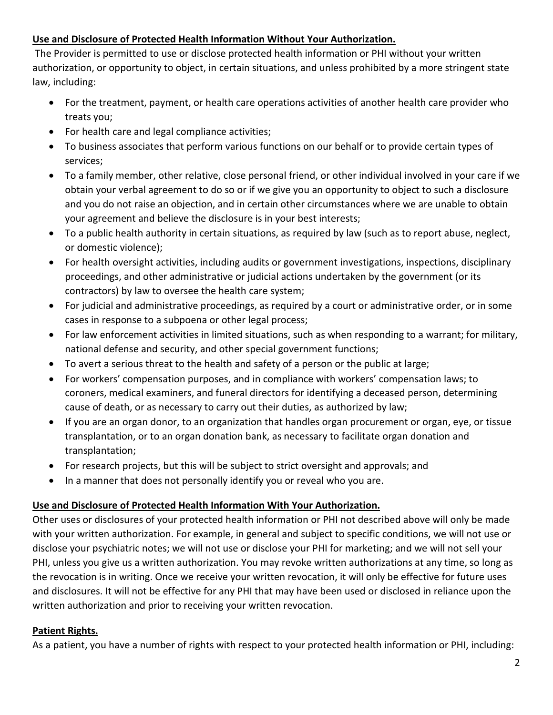## **Use and Disclosure of Protected Health Information Without Your Authorization.**

The Provider is permitted to use or disclose protected health information or PHI without your written authorization, or opportunity to object, in certain situations, and unless prohibited by a more stringent state law, including:

- For the treatment, payment, or health care operations activities of another health care provider who treats you;
- For health care and legal compliance activities;
- To business associates that perform various functions on our behalf or to provide certain types of services;
- To a family member, other relative, close personal friend, or other individual involved in your care if we obtain your verbal agreement to do so or if we give you an opportunity to object to such a disclosure and you do not raise an objection, and in certain other circumstances where we are unable to obtain your agreement and believe the disclosure is in your best interests;
- To a public health authority in certain situations, as required by law (such as to report abuse, neglect, or domestic violence);
- For health oversight activities, including audits or government investigations, inspections, disciplinary proceedings, and other administrative or judicial actions undertaken by the government (or its contractors) by law to oversee the health care system;
- For judicial and administrative proceedings, as required by a court or administrative order, or in some cases in response to a subpoena or other legal process;
- For law enforcement activities in limited situations, such as when responding to a warrant; for military, national defense and security, and other special government functions;
- To avert a serious threat to the health and safety of a person or the public at large;
- For workers' compensation purposes, and in compliance with workers' compensation laws; to coroners, medical examiners, and funeral directors for identifying a deceased person, determining cause of death, or as necessary to carry out their duties, as authorized by law;
- If you are an organ donor, to an organization that handles organ procurement or organ, eye, or tissue transplantation, or to an organ donation bank, as necessary to facilitate organ donation and transplantation;
- For research projects, but this will be subject to strict oversight and approvals; and
- In a manner that does not personally identify you or reveal who you are.

## **Use and Disclosure of Protected Health Information With Your Authorization.**

Other uses or disclosures of your protected health information or PHI not described above will only be made with your written authorization. For example, in general and subject to specific conditions, we will not use or disclose your psychiatric notes; we will not use or disclose your PHI for marketing; and we will not sell your PHI, unless you give us a written authorization. You may revoke written authorizations at any time, so long as the revocation is in writing. Once we receive your written revocation, it will only be effective for future uses and disclosures. It will not be effective for any PHI that may have been used or disclosed in reliance upon the written authorization and prior to receiving your written revocation.

## **Patient Rights.**

As a patient, you have a number of rights with respect to your protected health information or PHI, including: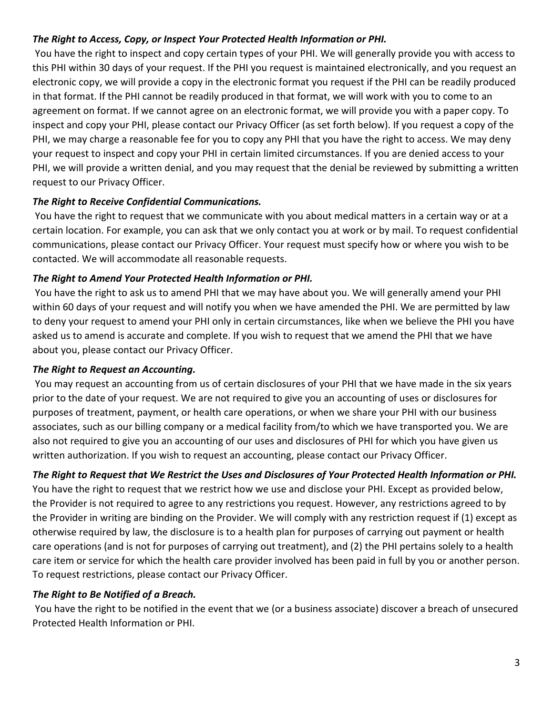## *The Right to Access, Copy, or Inspect Your Protected Health Information or PHI.*

You have the right to inspect and copy certain types of your PHI. We will generally provide you with access to this PHI within 30 days of your request. If the PHI you request is maintained electronically, and you request an electronic copy, we will provide a copy in the electronic format you request if the PHI can be readily produced in that format. If the PHI cannot be readily produced in that format, we will work with you to come to an agreement on format. If we cannot agree on an electronic format, we will provide you with a paper copy. To inspect and copy your PHI, please contact our Privacy Officer (as set forth below). If you request a copy of the PHI, we may charge a reasonable fee for you to copy any PHI that you have the right to access. We may deny your request to inspect and copy your PHI in certain limited circumstances. If you are denied access to your PHI, we will provide a written denial, and you may request that the denial be reviewed by submitting a written request to our Privacy Officer.

### *The Right to Receive Confidential Communications.*

You have the right to request that we communicate with you about medical matters in a certain way or at a certain location. For example, you can ask that we only contact you at work or by mail. To request confidential communications, please contact our Privacy Officer. Your request must specify how or where you wish to be contacted. We will accommodate all reasonable requests.

### *The Right to Amend Your Protected Health Information or PHI.*

You have the right to ask us to amend PHI that we may have about you. We will generally amend your PHI within 60 days of your request and will notify you when we have amended the PHI. We are permitted by law to deny your request to amend your PHI only in certain circumstances, like when we believe the PHI you have asked us to amend is accurate and complete. If you wish to request that we amend the PHI that we have about you, please contact our Privacy Officer.

#### *The Right to Request an Accounting.*

You may request an accounting from us of certain disclosures of your PHI that we have made in the six years prior to the date of your request. We are not required to give you an accounting of uses or disclosures for purposes of treatment, payment, or health care operations, or when we share your PHI with our business associates, such as our billing company or a medical facility from/to which we have transported you. We are also not required to give you an accounting of our uses and disclosures of PHI for which you have given us written authorization. If you wish to request an accounting, please contact our Privacy Officer.

## *The Right to Request that We Restrict the Uses and Disclosures of Your Protected Health Information or PHI.*

You have the right to request that we restrict how we use and disclose your PHI. Except as provided below, the Provider is not required to agree to any restrictions you request. However, any restrictions agreed to by the Provider in writing are binding on the Provider. We will comply with any restriction request if (1) except as otherwise required by law, the disclosure is to a health plan for purposes of carrying out payment or health care operations (and is not for purposes of carrying out treatment), and (2) the PHI pertains solely to a health care item or service for which the health care provider involved has been paid in full by you or another person. To request restrictions, please contact our Privacy Officer.

## *The Right to Be Notified of a Breach.*

You have the right to be notified in the event that we (or a business associate) discover a breach of unsecured Protected Health Information or PHI.